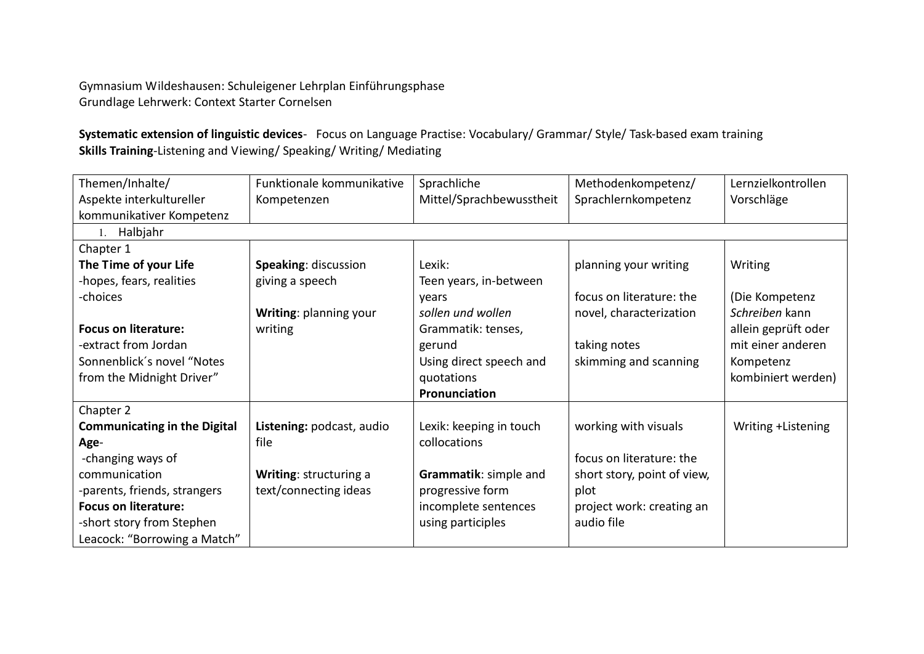Gymnasium Wildeshausen: Schuleigener Lehrplan Einführungsphase Grundlage Lehrwerk: Context Starter Cornelsen

**Systematic extension of linguistic devices**- Focus on Language Practise: Vocabulary/ Grammar/ Style/ Task-based exam training **Skills Training**-Listening and Viewing/ Speaking/ Writing/ Mediating

| Themen/Inhalte/                     | Funktionale kommunikative | Sprachliche              | Methodenkompetenz/          | Lernzielkontrollen  |
|-------------------------------------|---------------------------|--------------------------|-----------------------------|---------------------|
| Aspekte interkultureller            | Kompetenzen               | Mittel/Sprachbewusstheit | Sprachlernkompetenz         | Vorschläge          |
| kommunikativer Kompetenz            |                           |                          |                             |                     |
| 1. Halbjahr                         |                           |                          |                             |                     |
| Chapter 1                           |                           |                          |                             |                     |
| The Time of your Life               | Speaking: discussion      | Lexik:                   | planning your writing       | Writing             |
| -hopes, fears, realities            | giving a speech           | Teen years, in-between   |                             |                     |
| -choices                            |                           | years                    | focus on literature: the    | (Die Kompetenz      |
|                                     | Writing: planning your    | sollen und wollen        | novel, characterization     | Schreiben kann      |
| <b>Focus on literature:</b>         | writing                   | Grammatik: tenses,       |                             | allein geprüft oder |
| -extract from Jordan                |                           | gerund                   | taking notes                | mit einer anderen   |
| Sonnenblick's novel "Notes          |                           | Using direct speech and  | skimming and scanning       | Kompetenz           |
| from the Midnight Driver"           |                           | quotations               |                             | kombiniert werden)  |
|                                     |                           | Pronunciation            |                             |                     |
| Chapter 2                           |                           |                          |                             |                     |
| <b>Communicating in the Digital</b> | Listening: podcast, audio | Lexik: keeping in touch  | working with visuals        | Writing +Listening  |
| Age-                                | file                      | collocations             |                             |                     |
| -changing ways of                   |                           |                          | focus on literature: the    |                     |
| communication                       | Writing: structuring a    | Grammatik: simple and    | short story, point of view, |                     |
| -parents, friends, strangers        | text/connecting ideas     | progressive form         | plot                        |                     |
| <b>Focus on literature:</b>         |                           | incomplete sentences     | project work: creating an   |                     |
| -short story from Stephen           |                           | using participles        | audio file                  |                     |
| Leacock: "Borrowing a Match"        |                           |                          |                             |                     |